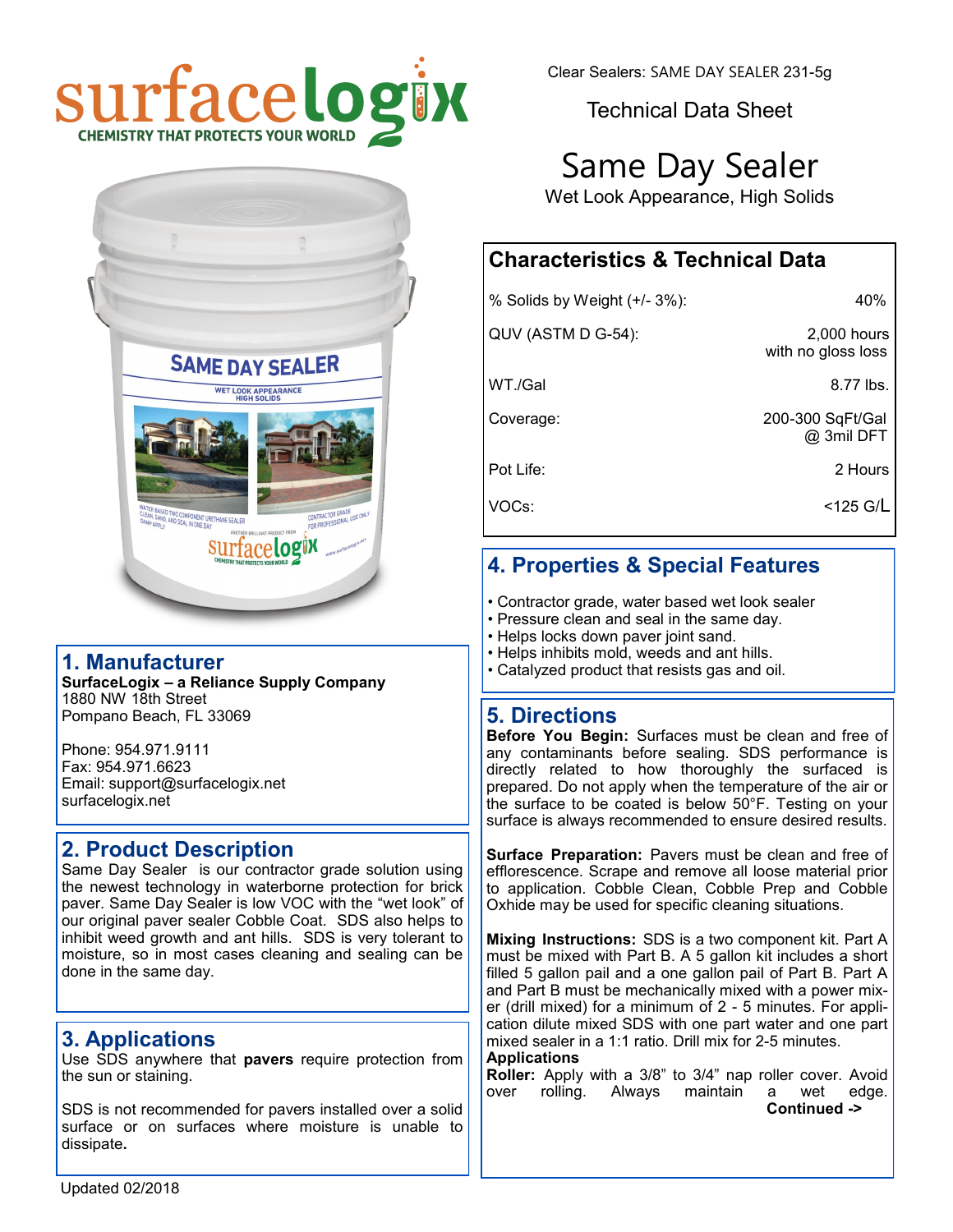



#### **1. Manufacturer**

**SurfaceLogix – a Reliance Supply Company** 1880 NW 18th Street Pompano Beach, FL 33069

Phone: 954.971.9111 Fax: 954.971.6623 Email: support@surfacelogix.net surfacelogix.net

#### **2. Product Description**

Same Day Sealer is our contractor grade solution using the newest technology in waterborne protection for brick paver. Same Day Sealer is low VOC with the "wet look" of our original paver sealer Cobble Coat. SDS also helps to inhibit weed growth and ant hills. SDS is very tolerant to moisture, so in most cases cleaning and sealing can be done in the same day.

# **3. Applications**

Use SDS anywhere that **pavers** require protection from the sun or staining.

SDS is not recommended for pavers installed over a solid surface or on surfaces where moisture is unable to dissipate**.**

Clear Sealers: SAME DAY SEALER 231-5g

Technical Data Sheet

# Same Day Sealer

Wet Look Appearance, High Solids

# **Characteristics & Technical Data**

| % Solids by Weight (+/- 3%): | 40%                                 |
|------------------------------|-------------------------------------|
| QUV (ASTM D G-54):           | $2,000$ hours<br>with no gloss loss |
| WT./Gal                      | 8.77 lbs.                           |
| Coverage:                    | 200-300 SqFt/Gal<br>@ 3mil DFT      |
| Pot Life:                    | 2 Hours                             |
| VOCs:                        | $<$ 125 G/L                         |

# **4. Properties & Special Features**

- Contractor grade, water based wet look sealer
- Pressure clean and seal in the same day.
- Helps locks down paver joint sand.
- Helps inhibits mold, weeds and ant hills.
- Catalyzed product that resists gas and oil.

#### **5. Directions**

**Before You Begin:** Surfaces must be clean and free of any contaminants before sealing. SDS performance is directly related to how thoroughly the surfaced is prepared. Do not apply when the temperature of the air or the surface to be coated is below 50°F. Testing on your surface is always recommended to ensure desired results.

**Surface Preparation:** Pavers must be clean and free of efflorescence. Scrape and remove all loose material prior to application. Cobble Clean, Cobble Prep and Cobble Oxhide may be used for specific cleaning situations.

**Mixing Instructions:** SDS is a two component kit. Part A must be mixed with Part B. A 5 gallon kit includes a short filled 5 gallon pail and a one gallon pail of Part B. Part A and Part B must be mechanically mixed with a power mixer (drill mixed) for a minimum of 2 - 5 minutes. For application dilute mixed SDS with one part water and one part mixed sealer in a 1:1 ratio. Drill mix for 2-5 minutes. **Applications** 

**Roller:** Apply with a 3/8" to 3/4" nap roller cover. Avoid over rolling. Always maintain a wet edge. **Continued ->**